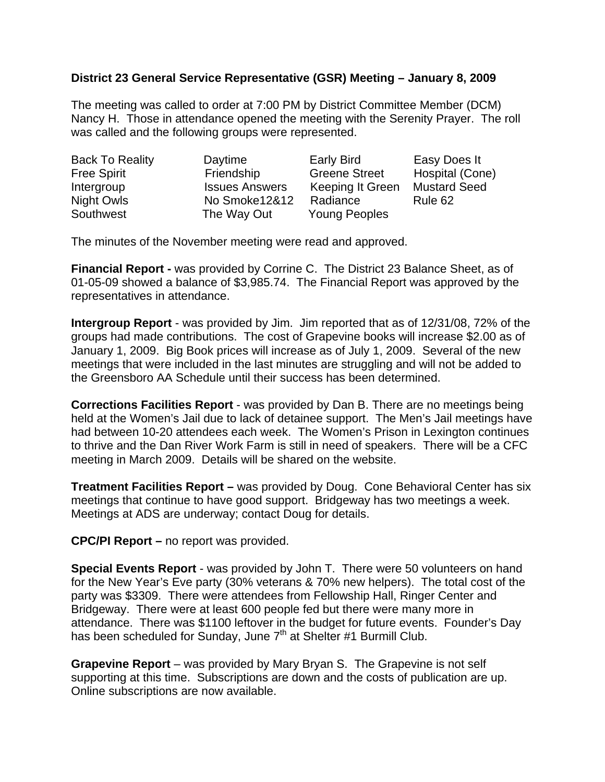## **District 23 General Service Representative (GSR) Meeting – January 8, 2009**

The meeting was called to order at 7:00 PM by District Committee Member (DCM) Nancy H. Those in attendance opened the meeting with the Serenity Prayer. The roll was called and the following groups were represented.

| <b>Back To Reality</b> | Daytime               | <b>Early Bird</b>    | Easy Does It        |
|------------------------|-----------------------|----------------------|---------------------|
| <b>Free Spirit</b>     | Friendship            | <b>Greene Street</b> | Hospital (Cone)     |
| Intergroup             | <b>Issues Answers</b> | Keeping It Green     | <b>Mustard Seed</b> |
| Night Owls             | No Smoke12&12         | Radiance             | Rule 62             |
| Southwest              | The Way Out           | <b>Young Peoples</b> |                     |

The minutes of the November meeting were read and approved.

**Financial Report -** was provided by Corrine C. The District 23 Balance Sheet, as of 01-05-09 showed a balance of \$3,985.74. The Financial Report was approved by the representatives in attendance.

**Intergroup Report** - was provided by Jim. Jim reported that as of 12/31/08, 72% of the groups had made contributions. The cost of Grapevine books will increase \$2.00 as of January 1, 2009. Big Book prices will increase as of July 1, 2009. Several of the new meetings that were included in the last minutes are struggling and will not be added to the Greensboro AA Schedule until their success has been determined.

**Corrections Facilities Report** - was provided by Dan B. There are no meetings being held at the Women's Jail due to lack of detainee support. The Men's Jail meetings have had between 10-20 attendees each week. The Women's Prison in Lexington continues to thrive and the Dan River Work Farm is still in need of speakers. There will be a CFC meeting in March 2009. Details will be shared on the website.

**Treatment Facilities Report –** was provided by Doug. Cone Behavioral Center has six meetings that continue to have good support. Bridgeway has two meetings a week. Meetings at ADS are underway; contact Doug for details.

**CPC/PI Report –** no report was provided.

**Special Events Report** - was provided by John T. There were 50 volunteers on hand for the New Year's Eve party (30% veterans & 70% new helpers). The total cost of the party was \$3309. There were attendees from Fellowship Hall, Ringer Center and Bridgeway. There were at least 600 people fed but there were many more in attendance. There was \$1100 leftover in the budget for future events. Founder's Day has been scheduled for Sunday, June  $7<sup>th</sup>$  at Shelter #1 Burmill Club.

**Grapevine Report** – was provided by Mary Bryan S. The Grapevine is not self supporting at this time. Subscriptions are down and the costs of publication are up. Online subscriptions are now available.